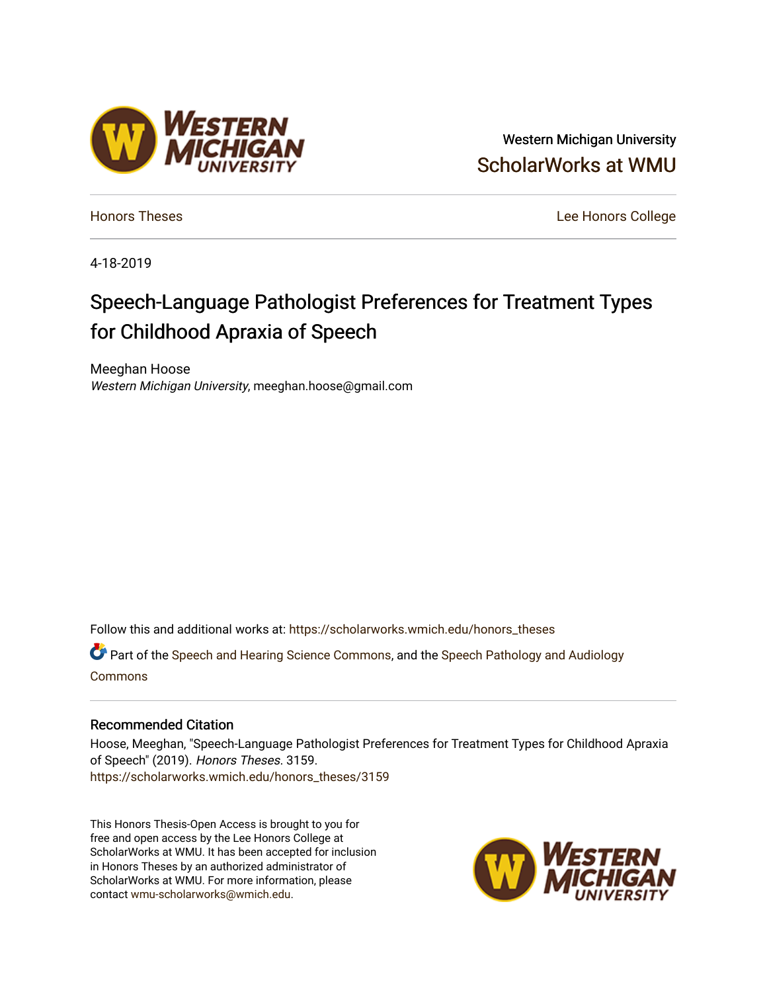# Western Michigan University [ScholarWorks at WMU](https://scholarworks.wmich.edu/)

[Honors Theses](https://scholarworks.wmich.edu/honors_theses) [Lee Honors College](https://scholarworks.wmich.edu/honors) 

4-18-2019

# Speech-Language Pathologist Preferences for Treatment Types for Childhood Apraxia of Speech

Meeghan Hoose Western Michigan University, meeghan.hoose@gmail.com

Follow this and additional works at: [https://scholarworks.wmich.edu/honors\\_theses](https://scholarworks.wmich.edu/honors_theses?utm_source=scholarworks.wmich.edu%2Fhonors_theses%2F3159&utm_medium=PDF&utm_campaign=PDFCoverPages)

Part of the [Speech and Hearing Science Commons](http://network.bepress.com/hgg/discipline/1033?utm_source=scholarworks.wmich.edu%2Fhonors_theses%2F3159&utm_medium=PDF&utm_campaign=PDFCoverPages), and the [Speech Pathology and Audiology](http://network.bepress.com/hgg/discipline/1035?utm_source=scholarworks.wmich.edu%2Fhonors_theses%2F3159&utm_medium=PDF&utm_campaign=PDFCoverPages) [Commons](http://network.bepress.com/hgg/discipline/1035?utm_source=scholarworks.wmich.edu%2Fhonors_theses%2F3159&utm_medium=PDF&utm_campaign=PDFCoverPages)

#### Recommended Citation

Hoose, Meeghan, "Speech-Language Pathologist Preferences for Treatment Types for Childhood Apraxia of Speech" (2019). Honors Theses. 3159. [https://scholarworks.wmich.edu/honors\\_theses/3159](https://scholarworks.wmich.edu/honors_theses/3159?utm_source=scholarworks.wmich.edu%2Fhonors_theses%2F3159&utm_medium=PDF&utm_campaign=PDFCoverPages) 

This Honors Thesis-Open Access is brought to you for free and open access by the Lee Honors College at ScholarWorks at WMU. It has been accepted for inclusion in Honors Theses by an authorized administrator of ScholarWorks at WMU. For more information, please contact [wmu-scholarworks@wmich.edu](mailto:wmu-scholarworks@wmich.edu).



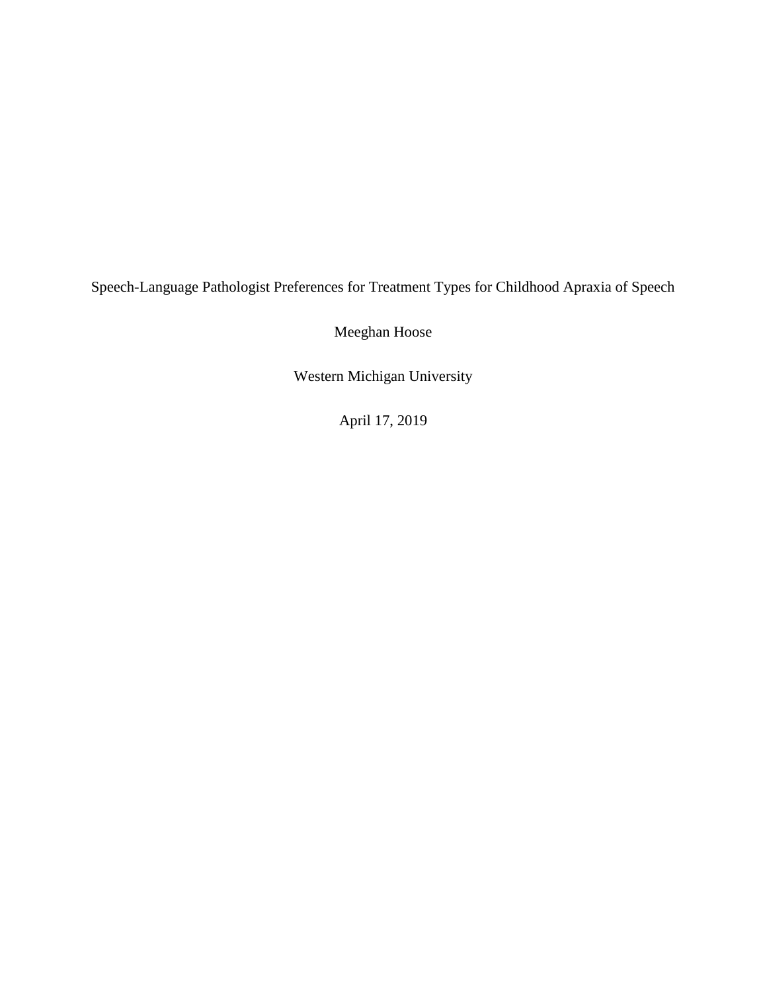Speech-Language Pathologist Preferences for Treatment Types for Childhood Apraxia of Speech

Meeghan Hoose

Western Michigan University

April 17, 2019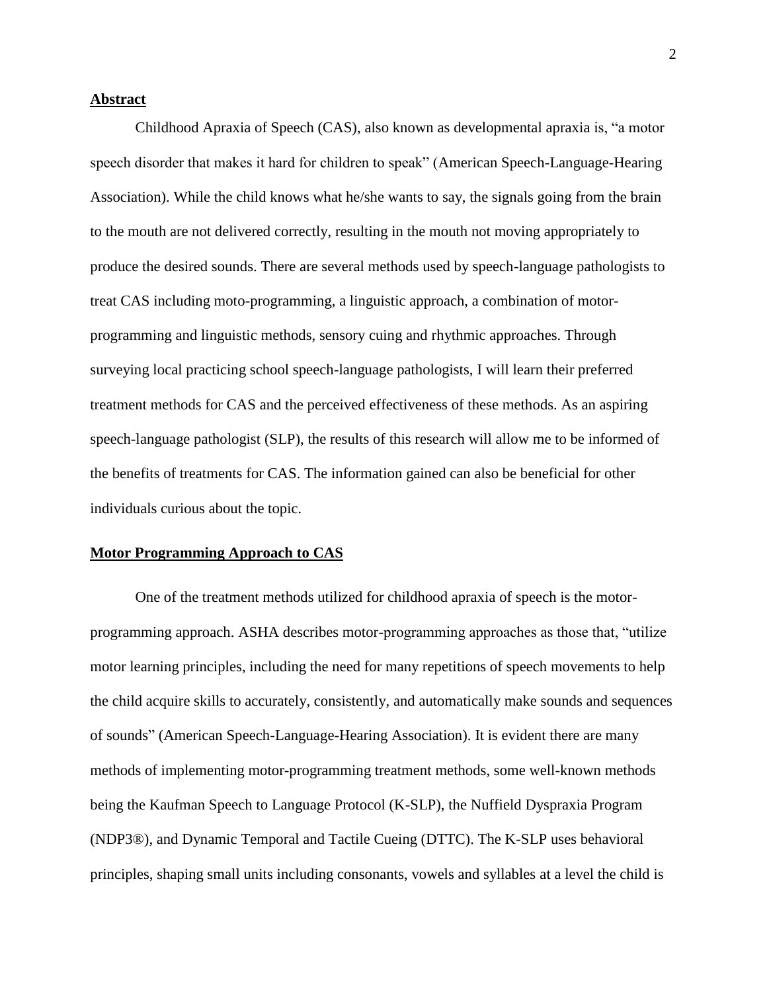# **Abstract**

Childhood Apraxia of Speech (CAS), also known as developmental apraxia is, "a motor speech disorder that makes it hard for children to speak" (American Speech-Language-Hearing Association). While the child knows what he/she wants to say, the signals going from the brain to the mouth are not delivered correctly, resulting in the mouth not moving appropriately to produce the desired sounds. There are several methods used by speech-language pathologists to treat CAS including moto-programming, a linguistic approach, a combination of motorprogramming and linguistic methods, sensory cuing and rhythmic approaches. Through surveying local practicing school speech-language pathologists, I will learn their preferred treatment methods for CAS and the perceived effectiveness of these methods. As an aspiring speech-language pathologist (SLP), the results of this research will allow me to be informed of the benefits of treatments for CAS. The information gained can also be beneficial for other individuals curious about the topic.

#### **Motor Programming Approach to CAS**

One of the treatment methods utilized for childhood apraxia of speech is the motorprogramming approach. ASHA describes motor-programming approaches as those that, "utilize motor learning principles, including the need for many repetitions of speech movements to help the child acquire skills to accurately, consistently, and automatically make sounds and sequences of sounds" (American Speech-Language-Hearing Association). It is evident there are many methods of implementing motor-programming treatment methods, some well-known methods being the Kaufman Speech to Language Protocol (K-SLP), the Nuffield Dyspraxia Program (NDP3®), and Dynamic Temporal and Tactile Cueing (DTTC). The K-SLP uses behavioral principles, shaping small units including consonants, vowels and syllables at a level the child is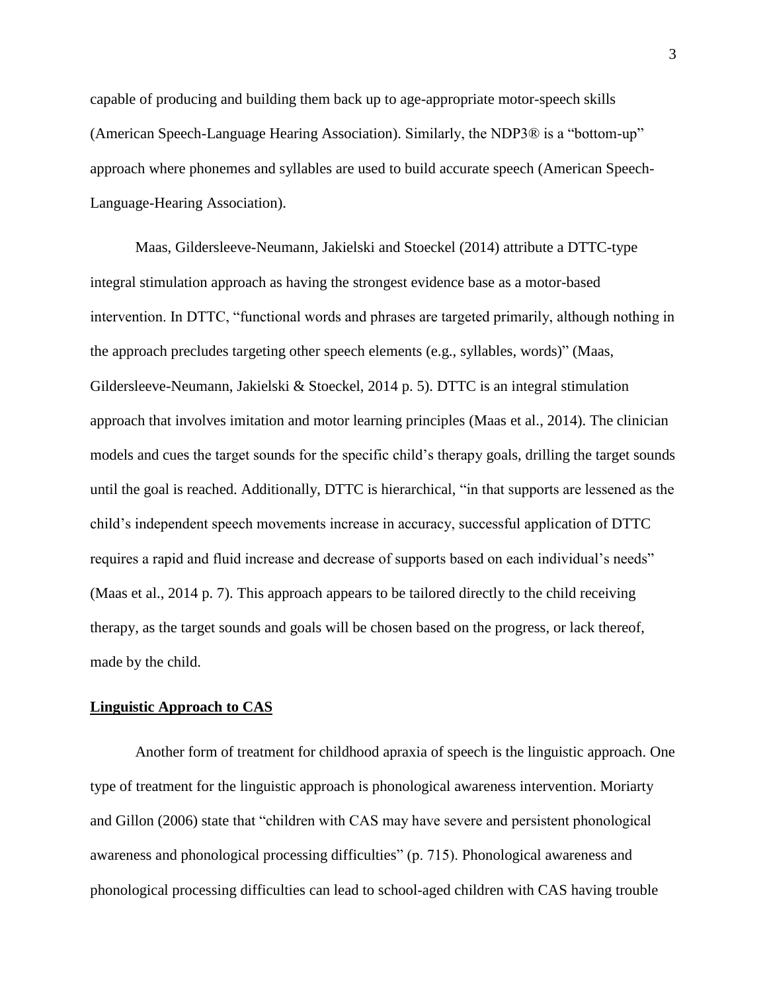capable of producing and building them back up to age-appropriate motor-speech skills (American Speech-Language Hearing Association). Similarly, the NDP3® is a "bottom-up" approach where phonemes and syllables are used to build accurate speech (American Speech-Language-Hearing Association).

Maas, Gildersleeve-Neumann, Jakielski and Stoeckel (2014) attribute a DTTC-type integral stimulation approach as having the strongest evidence base as a motor-based intervention. In DTTC, "functional words and phrases are targeted primarily, although nothing in the approach precludes targeting other speech elements (e.g., syllables, words)" (Maas, Gildersleeve-Neumann, Jakielski & Stoeckel, 2014 p. 5). DTTC is an integral stimulation approach that involves imitation and motor learning principles (Maas et al., 2014). The clinician models and cues the target sounds for the specific child's therapy goals, drilling the target sounds until the goal is reached. Additionally, DTTC is hierarchical, "in that supports are lessened as the child's independent speech movements increase in accuracy, successful application of DTTC requires a rapid and fluid increase and decrease of supports based on each individual's needs" (Maas et al., 2014 p. 7). This approach appears to be tailored directly to the child receiving therapy, as the target sounds and goals will be chosen based on the progress, or lack thereof, made by the child.

#### **Linguistic Approach to CAS**

Another form of treatment for childhood apraxia of speech is the linguistic approach. One type of treatment for the linguistic approach is phonological awareness intervention. Moriarty and Gillon (2006) state that "children with CAS may have severe and persistent phonological awareness and phonological processing difficulties" (p. 715). Phonological awareness and phonological processing difficulties can lead to school-aged children with CAS having trouble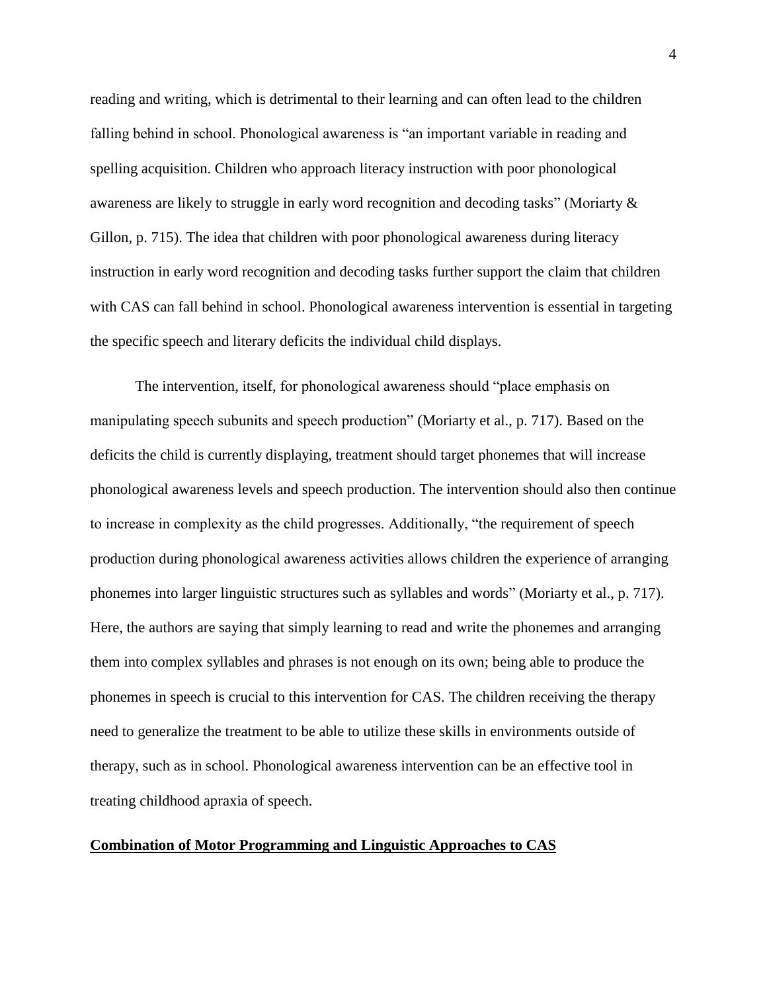reading and writing, which is detrimental to their learning and can often lead to the children falling behind in school. Phonological awareness is "an important variable in reading and spelling acquisition. Children who approach literacy instruction with poor phonological awareness are likely to struggle in early word recognition and decoding tasks" (Moriarty & Gillon, p. 715). The idea that children with poor phonological awareness during literacy instruction in early word recognition and decoding tasks further support the claim that children with CAS can fall behind in school. Phonological awareness intervention is essential in targeting the specific speech and literary deficits the individual child displays.

The intervention, itself, for phonological awareness should "place emphasis on manipulating speech subunits and speech production" (Moriarty et al., p. 717). Based on the deficits the child is currently displaying, treatment should target phonemes that will increase phonological awareness levels and speech production. The intervention should also then continue to increase in complexity as the child progresses. Additionally, "the requirement of speech production during phonological awareness activities allows children the experience of arranging phonemes into larger linguistic structures such as syllables and words" (Moriarty et al., p. 717). Here, the authors are saying that simply learning to read and write the phonemes and arranging them into complex syllables and phrases is not enough on its own; being able to produce the phonemes in speech is crucial to this intervention for CAS. The children receiving the therapy need to generalize the treatment to be able to utilize these skills in environments outside of therapy, such as in school. Phonological awareness intervention can be an effective tool in treating childhood apraxia of speech.

### **Combination of Motor Programming and Linguistic Approaches to CAS**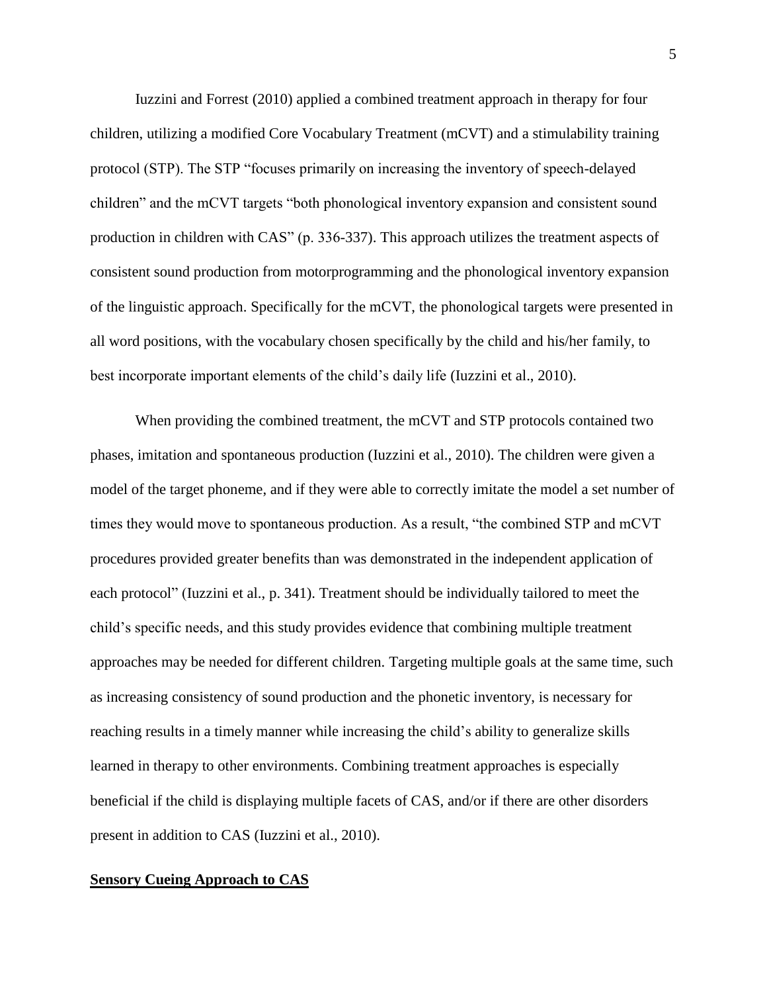Iuzzini and Forrest (2010) applied a combined treatment approach in therapy for four children, utilizing a modified Core Vocabulary Treatment (mCVT) and a stimulability training protocol (STP). The STP "focuses primarily on increasing the inventory of speech-delayed children" and the mCVT targets "both phonological inventory expansion and consistent sound production in children with CAS" (p. 336-337). This approach utilizes the treatment aspects of consistent sound production from motorprogramming and the phonological inventory expansion of the linguistic approach. Specifically for the mCVT, the phonological targets were presented in all word positions, with the vocabulary chosen specifically by the child and his/her family, to best incorporate important elements of the child's daily life (Iuzzini et al., 2010).

When providing the combined treatment, the mCVT and STP protocols contained two phases, imitation and spontaneous production (Iuzzini et al., 2010). The children were given a model of the target phoneme, and if they were able to correctly imitate the model a set number of times they would move to spontaneous production. As a result, "the combined STP and mCVT procedures provided greater benefits than was demonstrated in the independent application of each protocol" (Iuzzini et al., p. 341). Treatment should be individually tailored to meet the child's specific needs, and this study provides evidence that combining multiple treatment approaches may be needed for different children. Targeting multiple goals at the same time, such as increasing consistency of sound production and the phonetic inventory, is necessary for reaching results in a timely manner while increasing the child's ability to generalize skills learned in therapy to other environments. Combining treatment approaches is especially beneficial if the child is displaying multiple facets of CAS, and/or if there are other disorders present in addition to CAS (Iuzzini et al., 2010).

#### **Sensory Cueing Approach to CAS**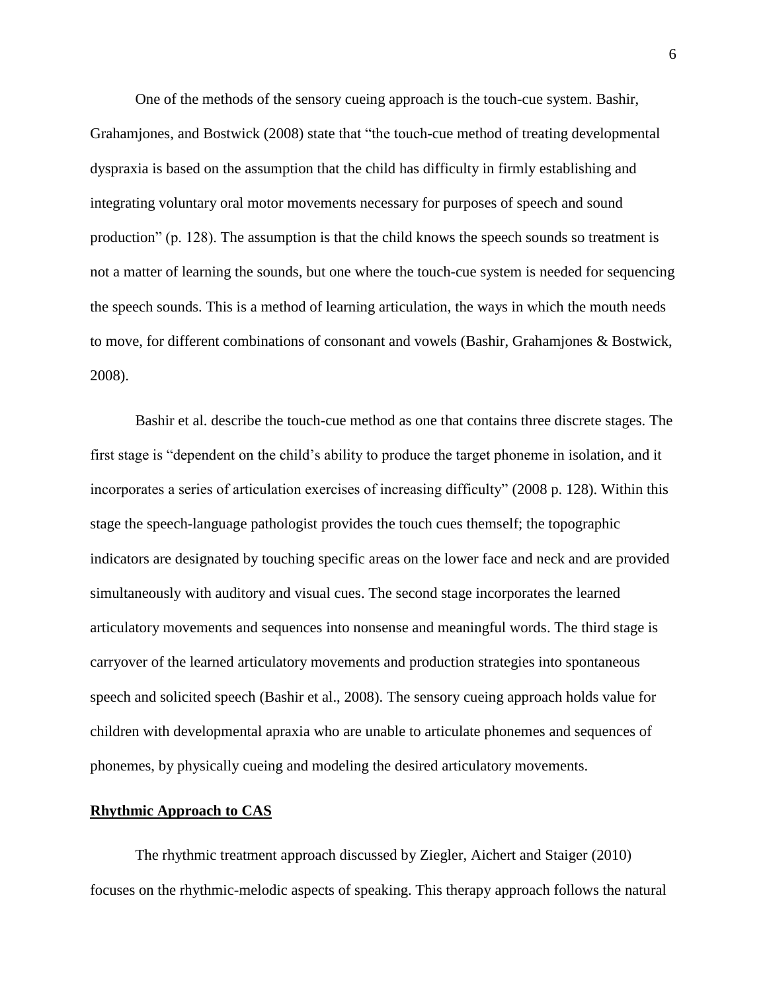One of the methods of the sensory cueing approach is the touch-cue system. Bashir, Grahamjones, and Bostwick (2008) state that "the touch-cue method of treating developmental dyspraxia is based on the assumption that the child has difficulty in firmly establishing and integrating voluntary oral motor movements necessary for purposes of speech and sound production" (p. 128). The assumption is that the child knows the speech sounds so treatment is not a matter of learning the sounds, but one where the touch-cue system is needed for sequencing the speech sounds. This is a method of learning articulation, the ways in which the mouth needs to move, for different combinations of consonant and vowels (Bashir, Grahamjones & Bostwick, 2008).

Bashir et al. describe the touch-cue method as one that contains three discrete stages. The first stage is "dependent on the child's ability to produce the target phoneme in isolation, and it incorporates a series of articulation exercises of increasing difficulty" (2008 p. 128). Within this stage the speech-language pathologist provides the touch cues themself; the topographic indicators are designated by touching specific areas on the lower face and neck and are provided simultaneously with auditory and visual cues. The second stage incorporates the learned articulatory movements and sequences into nonsense and meaningful words. The third stage is carryover of the learned articulatory movements and production strategies into spontaneous speech and solicited speech (Bashir et al., 2008). The sensory cueing approach holds value for children with developmental apraxia who are unable to articulate phonemes and sequences of phonemes, by physically cueing and modeling the desired articulatory movements.

#### **Rhythmic Approach to CAS**

The rhythmic treatment approach discussed by Ziegler, Aichert and Staiger (2010) focuses on the rhythmic-melodic aspects of speaking. This therapy approach follows the natural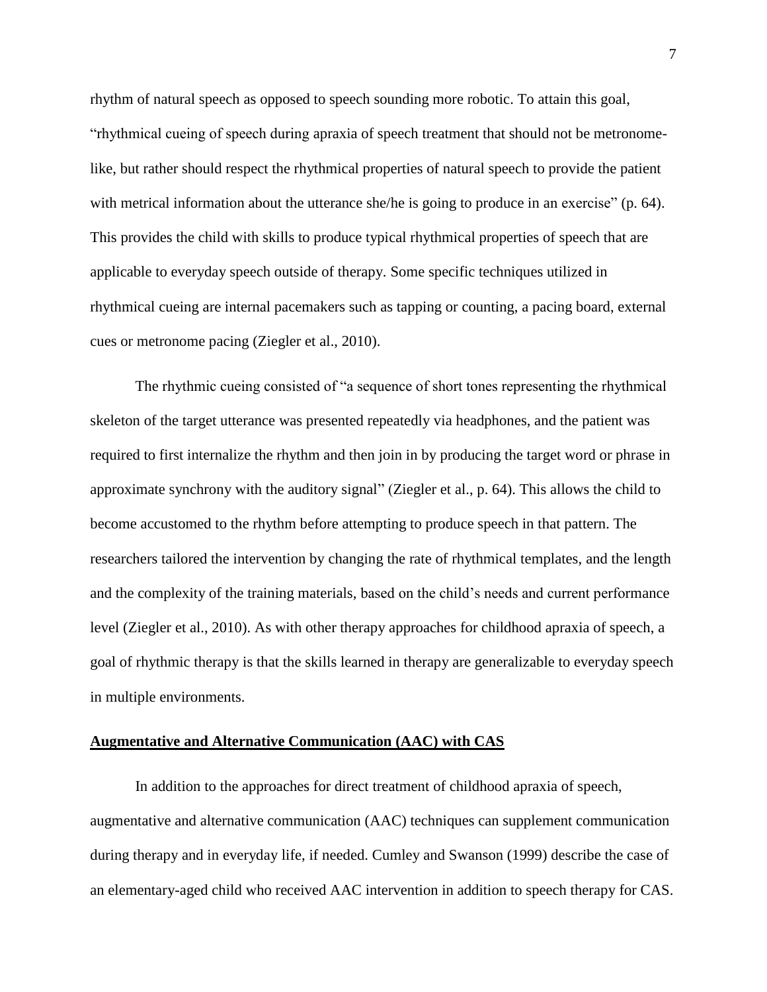rhythm of natural speech as opposed to speech sounding more robotic. To attain this goal, "rhythmical cueing of speech during apraxia of speech treatment that should not be metronomelike, but rather should respect the rhythmical properties of natural speech to provide the patient with metrical information about the utterance she/he is going to produce in an exercise" (p. 64). This provides the child with skills to produce typical rhythmical properties of speech that are applicable to everyday speech outside of therapy. Some specific techniques utilized in rhythmical cueing are internal pacemakers such as tapping or counting, a pacing board, external cues or metronome pacing (Ziegler et al., 2010).

The rhythmic cueing consisted of "a sequence of short tones representing the rhythmical skeleton of the target utterance was presented repeatedly via headphones, and the patient was required to first internalize the rhythm and then join in by producing the target word or phrase in approximate synchrony with the auditory signal" (Ziegler et al., p. 64). This allows the child to become accustomed to the rhythm before attempting to produce speech in that pattern. The researchers tailored the intervention by changing the rate of rhythmical templates, and the length and the complexity of the training materials, based on the child's needs and current performance level (Ziegler et al., 2010). As with other therapy approaches for childhood apraxia of speech, a goal of rhythmic therapy is that the skills learned in therapy are generalizable to everyday speech in multiple environments.

#### **Augmentative and Alternative Communication (AAC) with CAS**

In addition to the approaches for direct treatment of childhood apraxia of speech, augmentative and alternative communication (AAC) techniques can supplement communication during therapy and in everyday life, if needed. Cumley and Swanson (1999) describe the case of an elementary-aged child who received AAC intervention in addition to speech therapy for CAS.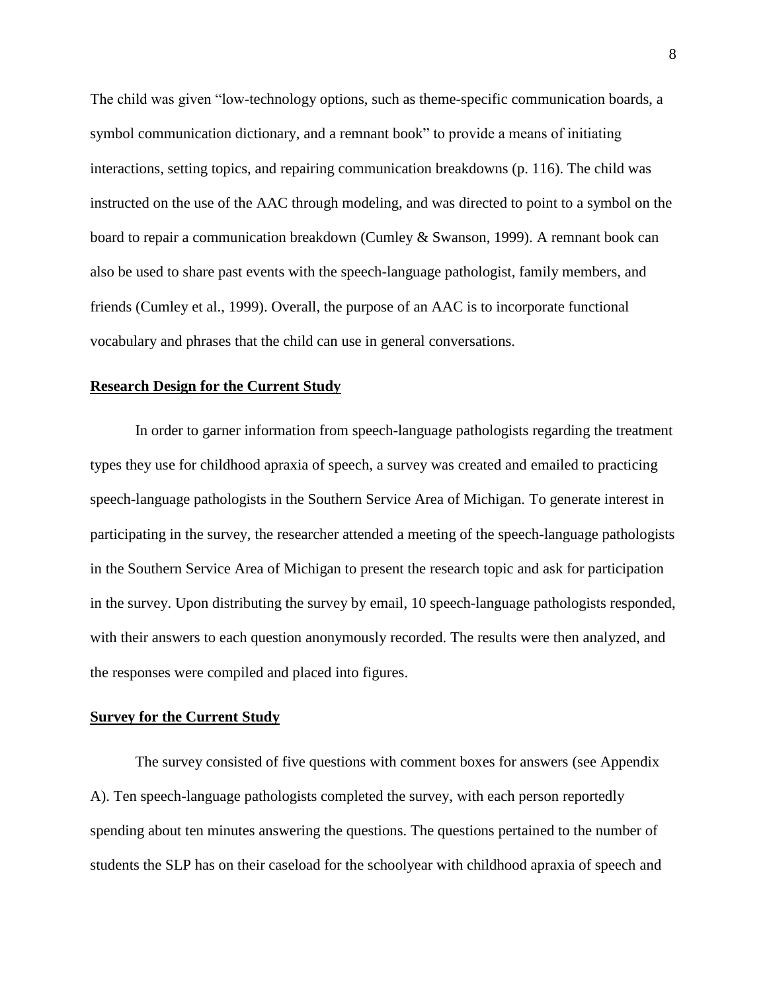The child was given "low-technology options, such as theme-specific communication boards, a symbol communication dictionary, and a remnant book" to provide a means of initiating interactions, setting topics, and repairing communication breakdowns (p. 116). The child was instructed on the use of the AAC through modeling, and was directed to point to a symbol on the board to repair a communication breakdown (Cumley & Swanson, 1999). A remnant book can also be used to share past events with the speech-language pathologist, family members, and friends (Cumley et al., 1999). Overall, the purpose of an AAC is to incorporate functional vocabulary and phrases that the child can use in general conversations.

#### **Research Design for the Current Study**

In order to garner information from speech-language pathologists regarding the treatment types they use for childhood apraxia of speech, a survey was created and emailed to practicing speech-language pathologists in the Southern Service Area of Michigan. To generate interest in participating in the survey, the researcher attended a meeting of the speech-language pathologists in the Southern Service Area of Michigan to present the research topic and ask for participation in the survey. Upon distributing the survey by email, 10 speech-language pathologists responded, with their answers to each question anonymously recorded. The results were then analyzed, and the responses were compiled and placed into figures.

#### **Survey for the Current Study**

The survey consisted of five questions with comment boxes for answers (see Appendix A). Ten speech-language pathologists completed the survey, with each person reportedly spending about ten minutes answering the questions. The questions pertained to the number of students the SLP has on their caseload for the schoolyear with childhood apraxia of speech and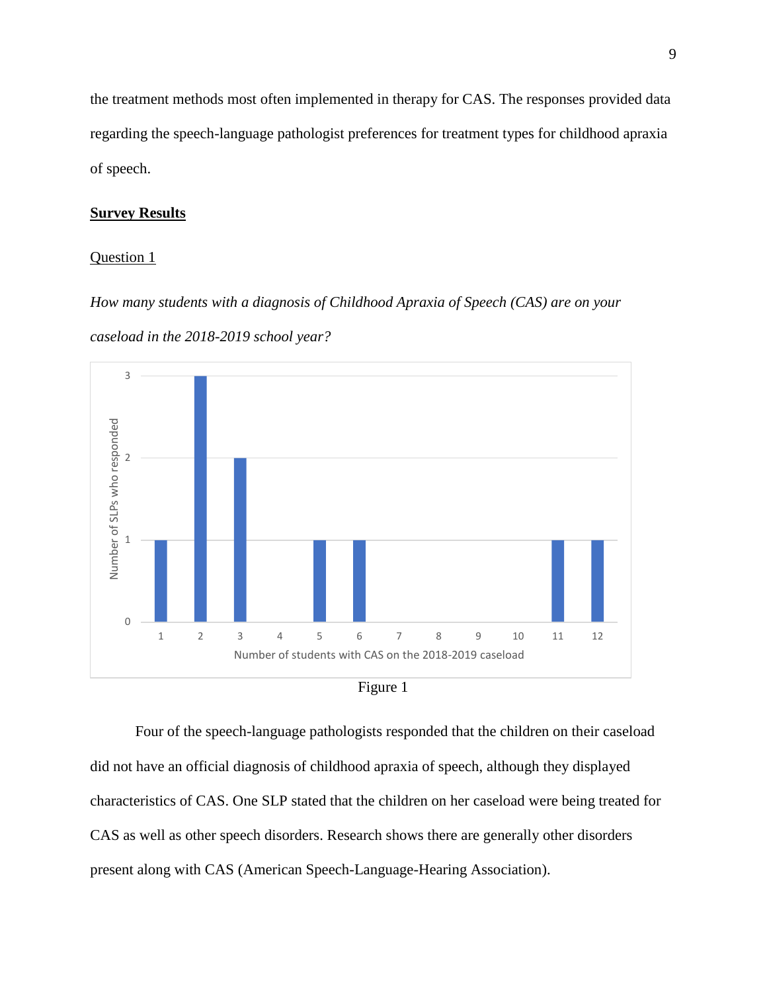the treatment methods most often implemented in therapy for CAS. The responses provided data regarding the speech-language pathologist preferences for treatment types for childhood apraxia of speech.

#### **Survey Results**

#### Question 1

*How many students with a diagnosis of Childhood Apraxia of Speech (CAS) are on your caseload in the 2018-2019 school year?*





Four of the speech-language pathologists responded that the children on their caseload did not have an official diagnosis of childhood apraxia of speech, although they displayed characteristics of CAS. One SLP stated that the children on her caseload were being treated for CAS as well as other speech disorders. Research shows there are generally other disorders present along with CAS (American Speech-Language-Hearing Association).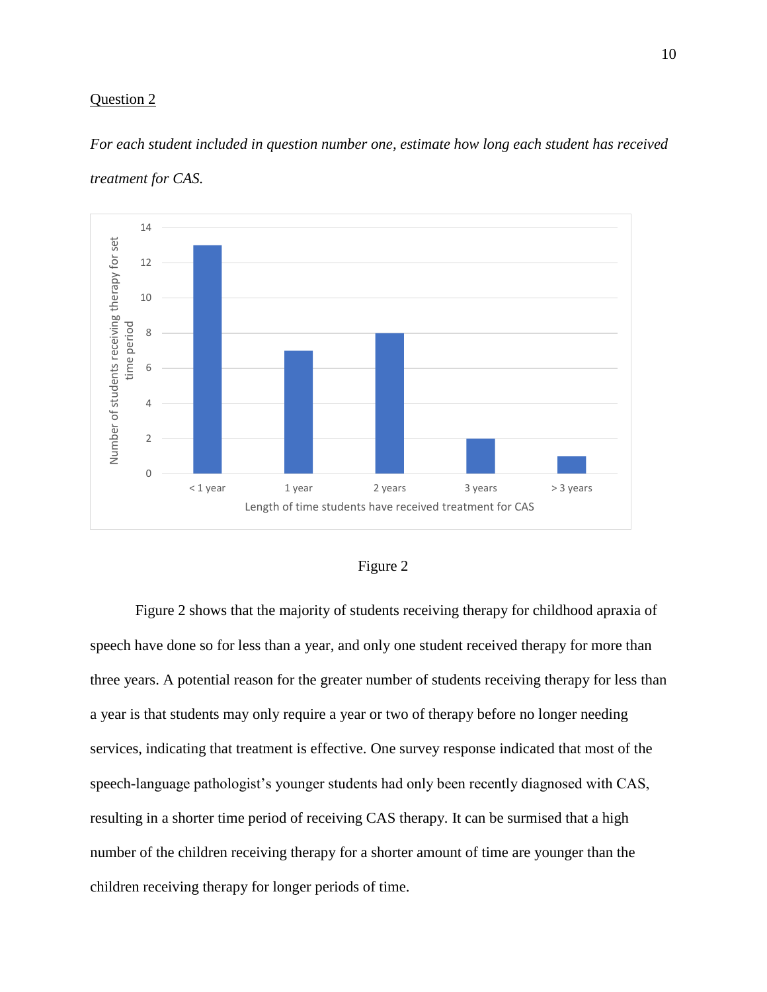*For each student included in question number one, estimate how long each student has received treatment for CAS.* 





Figure 2 shows that the majority of students receiving therapy for childhood apraxia of speech have done so for less than a year, and only one student received therapy for more than three years. A potential reason for the greater number of students receiving therapy for less than a year is that students may only require a year or two of therapy before no longer needing services, indicating that treatment is effective. One survey response indicated that most of the speech-language pathologist's younger students had only been recently diagnosed with CAS, resulting in a shorter time period of receiving CAS therapy. It can be surmised that a high number of the children receiving therapy for a shorter amount of time are younger than the children receiving therapy for longer periods of time.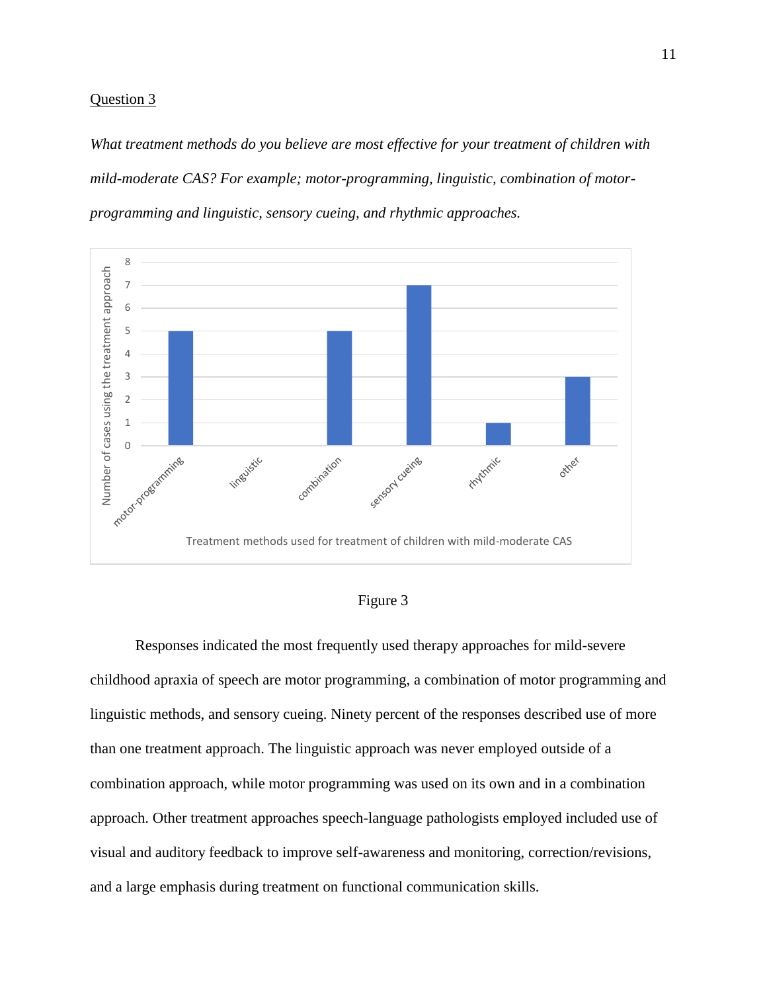*What treatment methods do you believe are most effective for your treatment of children with mild-moderate CAS? For example; motor-programming, linguistic, combination of motorprogramming and linguistic, sensory cueing, and rhythmic approaches.*





Responses indicated the most frequently used therapy approaches for mild-severe childhood apraxia of speech are motor programming, a combination of motor programming and linguistic methods, and sensory cueing. Ninety percent of the responses described use of more than one treatment approach. The linguistic approach was never employed outside of a combination approach, while motor programming was used on its own and in a combination approach. Other treatment approaches speech-language pathologists employed included use of visual and auditory feedback to improve self-awareness and monitoring, correction/revisions, and a large emphasis during treatment on functional communication skills.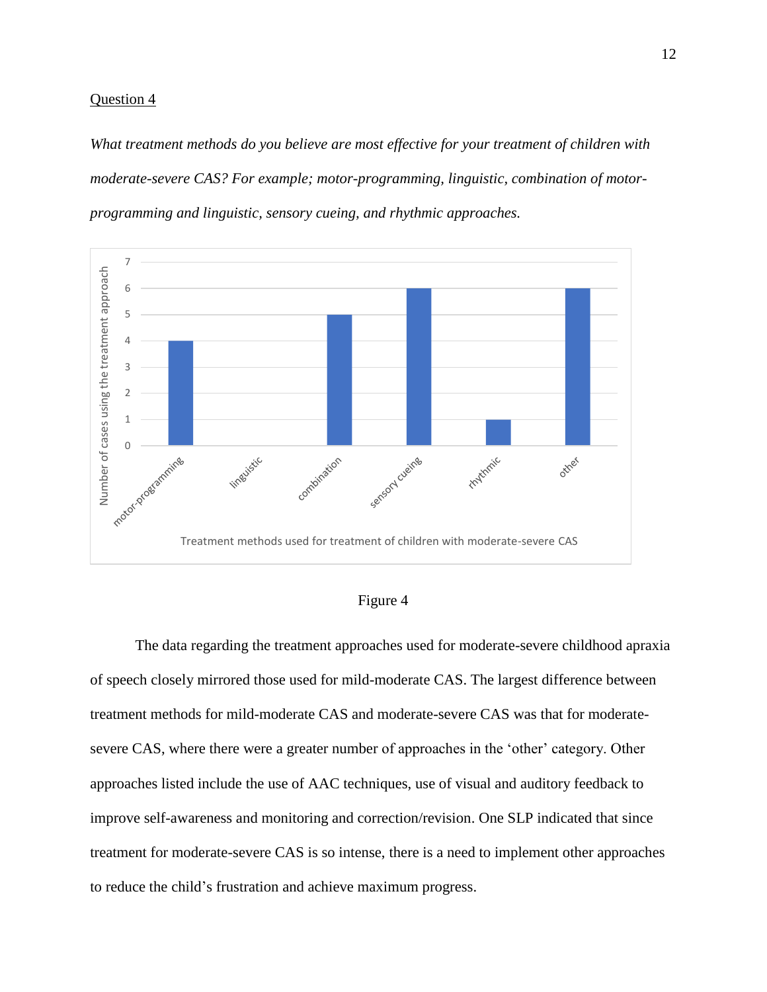*What treatment methods do you believe are most effective for your treatment of children with moderate-severe CAS? For example; motor-programming, linguistic, combination of motorprogramming and linguistic, sensory cueing, and rhythmic approaches.*



## Figure 4

The data regarding the treatment approaches used for moderate-severe childhood apraxia of speech closely mirrored those used for mild-moderate CAS. The largest difference between treatment methods for mild-moderate CAS and moderate-severe CAS was that for moderatesevere CAS, where there were a greater number of approaches in the 'other' category. Other approaches listed include the use of AAC techniques, use of visual and auditory feedback to improve self-awareness and monitoring and correction/revision. One SLP indicated that since treatment for moderate-severe CAS is so intense, there is a need to implement other approaches to reduce the child's frustration and achieve maximum progress.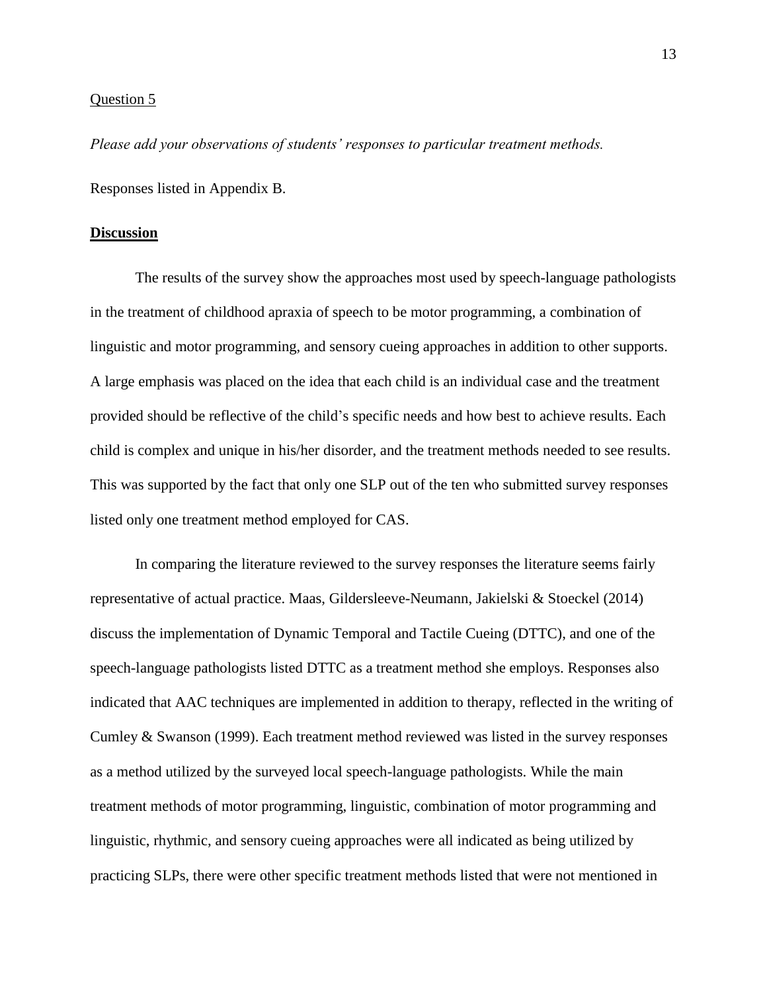*Please add your observations of students' responses to particular treatment methods.*

Responses listed in Appendix B.

#### **Discussion**

The results of the survey show the approaches most used by speech-language pathologists in the treatment of childhood apraxia of speech to be motor programming, a combination of linguistic and motor programming, and sensory cueing approaches in addition to other supports. A large emphasis was placed on the idea that each child is an individual case and the treatment provided should be reflective of the child's specific needs and how best to achieve results. Each child is complex and unique in his/her disorder, and the treatment methods needed to see results. This was supported by the fact that only one SLP out of the ten who submitted survey responses listed only one treatment method employed for CAS.

In comparing the literature reviewed to the survey responses the literature seems fairly representative of actual practice. Maas, Gildersleeve-Neumann, Jakielski & Stoeckel (2014) discuss the implementation of Dynamic Temporal and Tactile Cueing (DTTC), and one of the speech-language pathologists listed DTTC as a treatment method she employs. Responses also indicated that AAC techniques are implemented in addition to therapy, reflected in the writing of Cumley & Swanson (1999). Each treatment method reviewed was listed in the survey responses as a method utilized by the surveyed local speech-language pathologists. While the main treatment methods of motor programming, linguistic, combination of motor programming and linguistic, rhythmic, and sensory cueing approaches were all indicated as being utilized by practicing SLPs, there were other specific treatment methods listed that were not mentioned in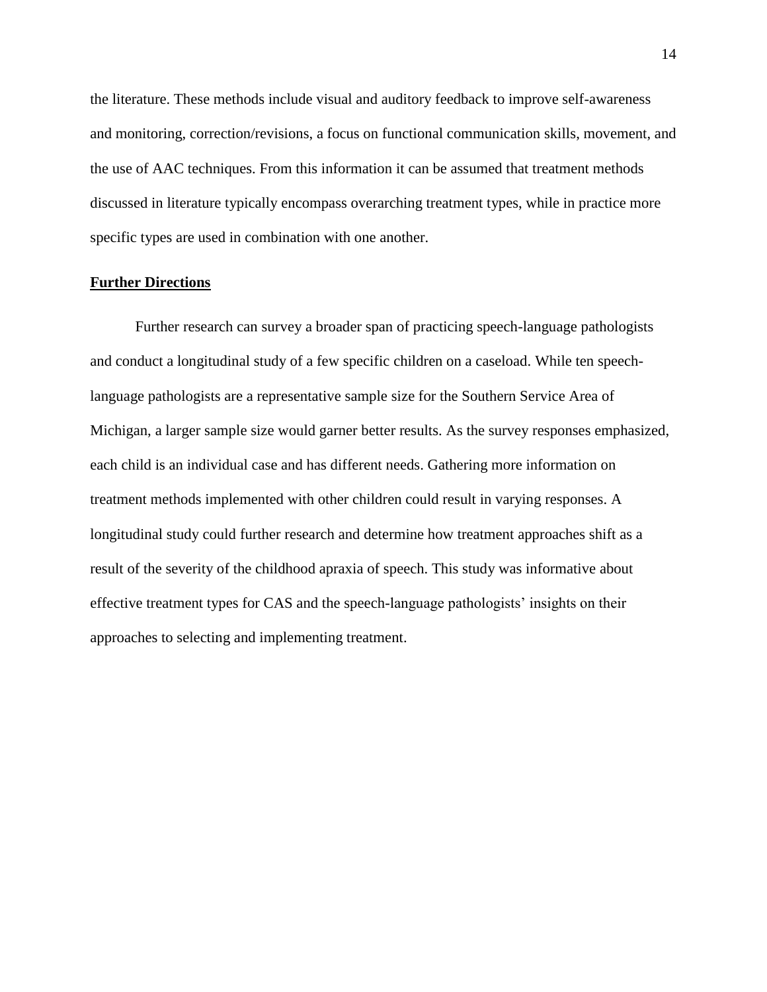the literature. These methods include visual and auditory feedback to improve self-awareness and monitoring, correction/revisions, a focus on functional communication skills, movement, and the use of AAC techniques. From this information it can be assumed that treatment methods discussed in literature typically encompass overarching treatment types, while in practice more specific types are used in combination with one another.

# **Further Directions**

Further research can survey a broader span of practicing speech-language pathologists and conduct a longitudinal study of a few specific children on a caseload. While ten speechlanguage pathologists are a representative sample size for the Southern Service Area of Michigan, a larger sample size would garner better results. As the survey responses emphasized, each child is an individual case and has different needs. Gathering more information on treatment methods implemented with other children could result in varying responses. A longitudinal study could further research and determine how treatment approaches shift as a result of the severity of the childhood apraxia of speech. This study was informative about effective treatment types for CAS and the speech-language pathologists' insights on their approaches to selecting and implementing treatment.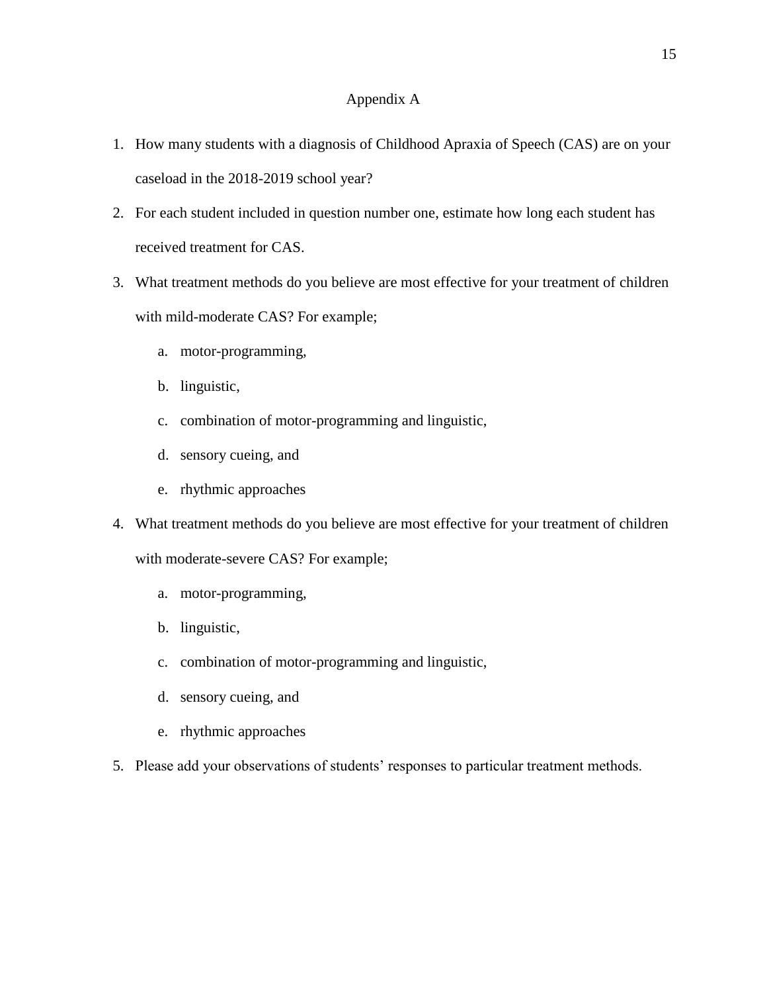### Appendix A

- 1. How many students with a diagnosis of Childhood Apraxia of Speech (CAS) are on your caseload in the 2018-2019 school year?
- 2. For each student included in question number one, estimate how long each student has received treatment for CAS.
- 3. What treatment methods do you believe are most effective for your treatment of children with mild-moderate CAS? For example;
	- a. motor-programming,
	- b. linguistic,
	- c. combination of motor-programming and linguistic,
	- d. sensory cueing, and
	- e. rhythmic approaches
- 4. What treatment methods do you believe are most effective for your treatment of children with moderate-severe CAS? For example;
	- a. motor-programming,
	- b. linguistic,
	- c. combination of motor-programming and linguistic,
	- d. sensory cueing, and
	- e. rhythmic approaches
- 5. Please add your observations of students' responses to particular treatment methods.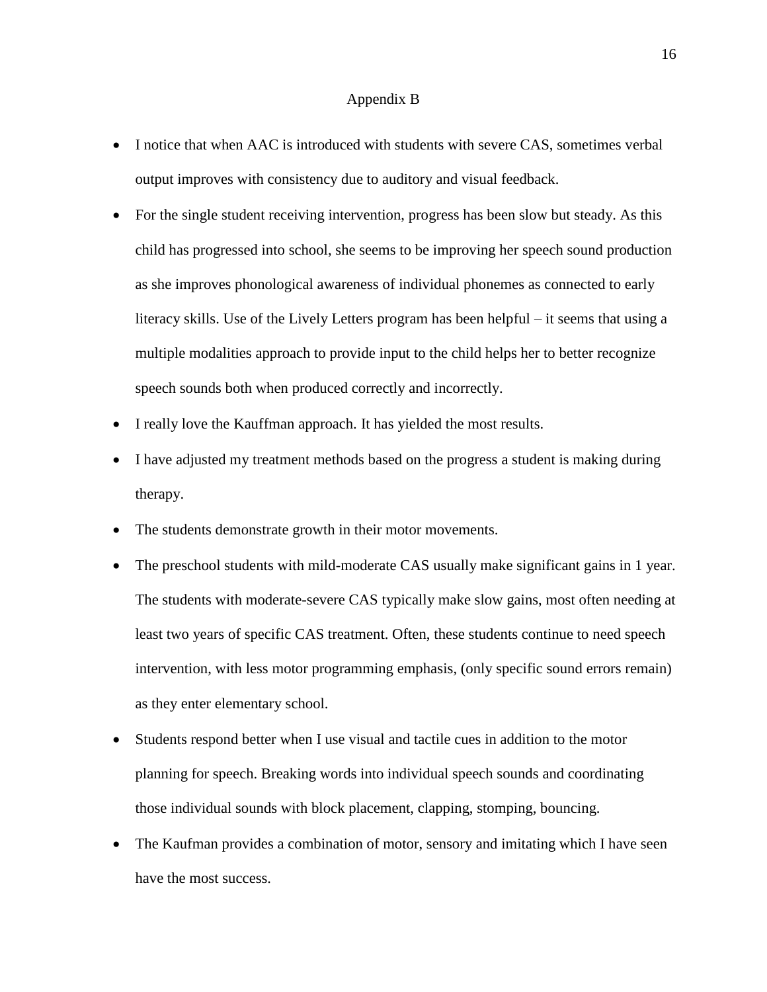#### Appendix B

- I notice that when AAC is introduced with students with severe CAS, sometimes verbal output improves with consistency due to auditory and visual feedback.
- For the single student receiving intervention, progress has been slow but steady. As this child has progressed into school, she seems to be improving her speech sound production as she improves phonological awareness of individual phonemes as connected to early literacy skills. Use of the Lively Letters program has been helpful – it seems that using a multiple modalities approach to provide input to the child helps her to better recognize speech sounds both when produced correctly and incorrectly.
- I really love the Kauffman approach. It has yielded the most results.
- I have adjusted my treatment methods based on the progress a student is making during therapy.
- The students demonstrate growth in their motor movements.
- The preschool students with mild-moderate CAS usually make significant gains in 1 year. The students with moderate-severe CAS typically make slow gains, most often needing at least two years of specific CAS treatment. Often, these students continue to need speech intervention, with less motor programming emphasis, (only specific sound errors remain) as they enter elementary school.
- Students respond better when I use visual and tactile cues in addition to the motor planning for speech. Breaking words into individual speech sounds and coordinating those individual sounds with block placement, clapping, stomping, bouncing.
- The Kaufman provides a combination of motor, sensory and imitating which I have seen have the most success.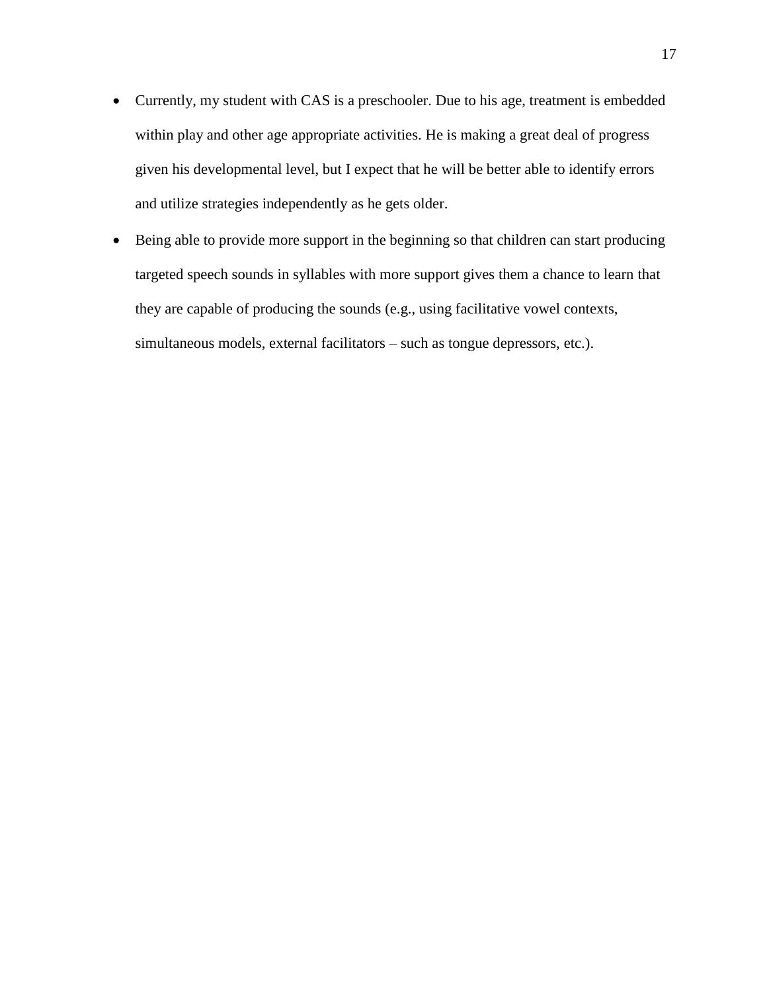- Currently, my student with CAS is a preschooler. Due to his age, treatment is embedded within play and other age appropriate activities. He is making a great deal of progress given his developmental level, but I expect that he will be better able to identify errors and utilize strategies independently as he gets older.
- Being able to provide more support in the beginning so that children can start producing targeted speech sounds in syllables with more support gives them a chance to learn that they are capable of producing the sounds (e.g., using facilitative vowel contexts, simultaneous models, external facilitators – such as tongue depressors, etc.).